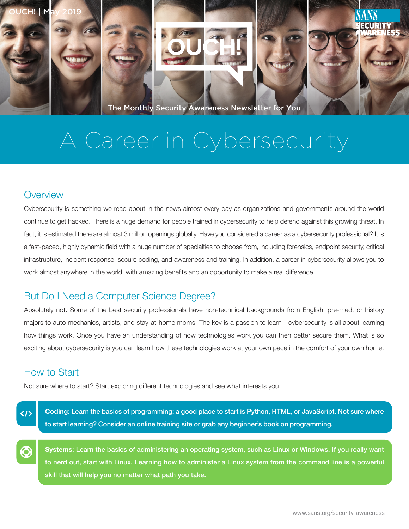

The Monthly Security Awareness Newsletter for You

# A Career in Cybersecurity

### **Overview**

Cybersecurity is something we read about in the news almost every day as organizations and governments around the world continue to get hacked. There is a huge demand for people trained in cybersecurity to help defend against this growing threat. In fact, it is estimated there are almost 3 million openings globally. Have you considered a career as a cybersecurity professional? It is a fast-paced, highly dynamic field with a huge number of specialties to choose from, including forensics, endpoint security, critical infrastructure, incident response, secure coding, and awareness and training. In addition, a career in cybersecurity allows you to work almost anywhere in the world, with amazing benefits and an opportunity to make a real difference.

## But Do I Need a Computer Science Degree?

Absolutely not. Some of the best security professionals have non-technical backgrounds from English, pre-med, or history majors to auto mechanics, artists, and stay-at-home moms. The key is a passion to learn—cybersecurity is all about learning how things work. Once you have an understanding of how technologies work you can then better secure them. What is so exciting about cybersecurity is you can learn how these technologies work at your own pace in the comfort of your own home.

# How to Start

Not sure where to start? Start exploring different technologies and see what interests you.

 $\langle I \rangle$ 

Coding: Learn the basics of programming: a good place to start is Python, HTML, or JavaScript. Not sure where to start learning? Consider an online training site or grab any beginner's book on programming.

Systems: Learn the basics of administering an operating system, such as Linux or Windows. If you really want to nerd out, start with Linux. Learning how to administer a Linux system from the command line is a powerful skill that will help you no matter what path you take.